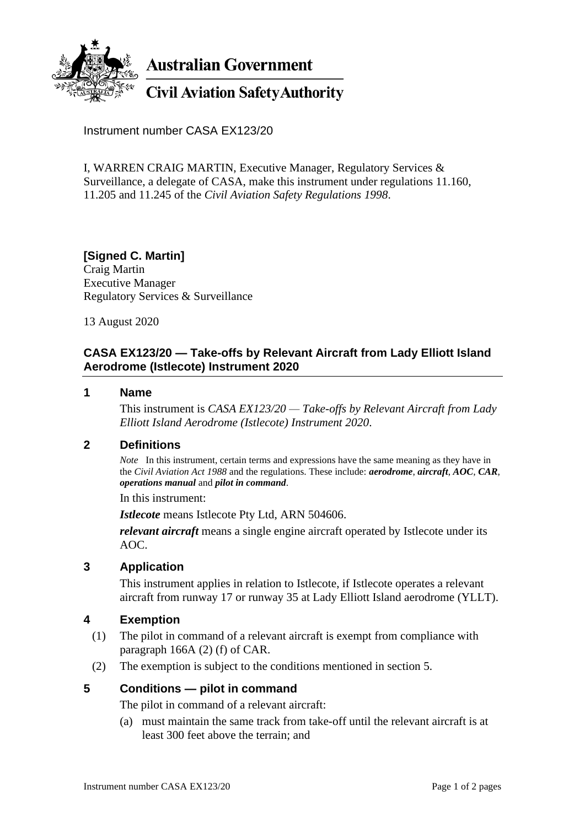

**Australian Government** 

# **Civil Aviation Safety Authority**

Instrument number CASA EX123/20

I, WARREN CRAIG MARTIN, Executive Manager, Regulatory Services & Surveillance, a delegate of CASA, make this instrument under regulations 11.160, 11.205 and 11.245 of the *Civil Aviation Safety Regulations 1998*.

**[Signed C. Martin]** Craig Martin Executive Manager Regulatory Services & Surveillance

13 August 2020

## **CASA EX123/20 — Take-offs by Relevant Aircraft from Lady Elliott Island Aerodrome (Istlecote) Instrument 2020**

#### **1 Name**

This instrument is *CASA EX123/20 — Take-offs by Relevant Aircraft from Lady Elliott Island Aerodrome (Istlecote) Instrument 2020*.

#### **2 Definitions**

*Note* In this instrument, certain terms and expressions have the same meaning as they have in the *Civil Aviation Act 1988* and the regulations. These include: *aerodrome*, *aircraft*, *AOC*, *CAR*, *operations manual* and *pilot in command*.

In this instrument:

*Istlecote* means Istlecote Pty Ltd, ARN 504606.

*relevant aircraft* means a single engine aircraft operated by Istlecote under its AOC.

#### **3 Application**

This instrument applies in relation to Istlecote, if Istlecote operates a relevant aircraft from runway 17 or runway 35 at Lady Elliott Island aerodrome (YLLT).

#### **4 Exemption**

- (1) The pilot in command of a relevant aircraft is exempt from compliance with paragraph 166A (2) (f) of CAR.
- (2) The exemption is subject to the conditions mentioned in section 5.

#### **5 Conditions — pilot in command**

The pilot in command of a relevant aircraft:

(a) must maintain the same track from take-off until the relevant aircraft is at least 300 feet above the terrain; and